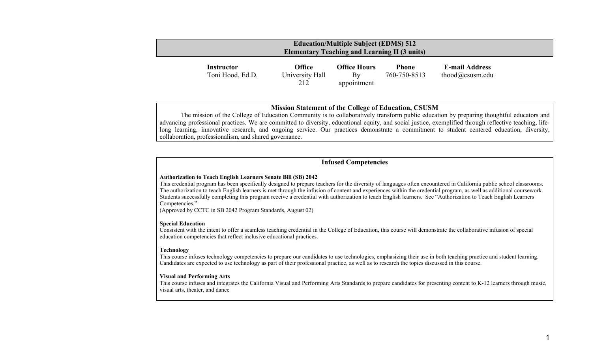| <b>Education/Multiple Subject (EDMS) 512</b><br><b>Elementary Teaching and Learning II (3 units)</b> |                                       |                                  |                                          |                              |                                          |  |
|------------------------------------------------------------------------------------------------------|---------------------------------------|----------------------------------|------------------------------------------|------------------------------|------------------------------------------|--|
|                                                                                                      | <b>Instructor</b><br>Toni Hood, Ed.D. | Office<br>University Hall<br>212 | <b>Office Hours</b><br>By<br>appointment | <b>Phone</b><br>760-750-8513 | <b>E-mail Address</b><br>thood@csusm.edu |  |

## **Mission Statement of the College of Education, CSUSM**

 The mission of the College of Education Community is to collaboratively transform public education by preparing thoughtful educators and advancing professional practices. We are committed to diversity, educational equity, and social justice, exemplified through reflective teaching, lifelong learning, innovative research, and ongoing service. Our practices demonstrate a commitment to student centered education, diversity, collaboration, professionalism, and shared governance.

## **Infused Competencies**

#### **Authorization to Teach English Learners Senate Bill (SB) 2042**

This credential program has been specifically designed to prepare teachers for the diversity of languages often encountered in California public school classrooms. The authorization to teach English learners is met through the infusion of content and experiences within the credential program, as well as additional coursework. Students successfully completing this program receive a credential with authorization to teach English learners. See "Authorization to Teach English Learners Competencies."

(Approved by CCTC in SB 2042 Program Standards, August 02)

### **Special Education**

Consistent with the intent to offer a seamless teaching credential in the College of Education, this course will demonstrate the collaborative infusion of special education competencies that reflect inclusive educational practices.

#### **Technology**

This course infuses technology competencies to prepare our candidates to use technologies, emphasizing their use in both teaching practice and student learning. Candidates are expected to use technology as part of their professional practice, as well as to research the topics discussed in this course.

#### **Visual and Performing Arts**

This course infuses and integrates the California Visual and Performing Arts Standards to prepare candidates for presenting content to K-12 learners through music, visual arts, theater, and dance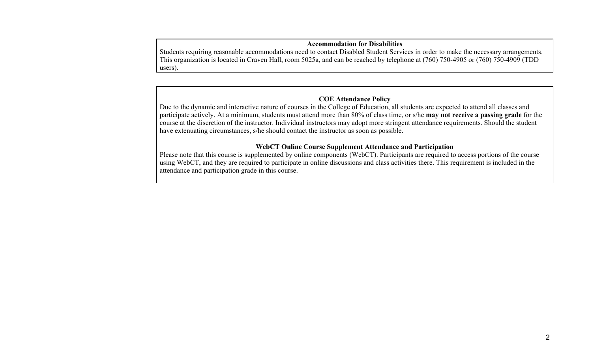# **Accommodation for Disabilities**

Students requiring reasonable accommodations need to contact Disabled Student Services in order to make the necessary arrangements. This organization is located in Craven Hall, room 5025a, and can be reached by telephone at (760) 750-4905 or (760) 750-4909 (TDD users).

# **COE Attendance Policy**

Due to the dynamic and interactive nature of courses in the College of Education, all students are expected to attend all classes and participate actively. At a minimum, students must attend more than 80% of class time, or s/he **may not receive a passing grade** for the course at the discretion of the instructor. Individual instructors may adopt more stringent attendance requirements. Should the student have extenuating circumstances, s/he should contact the instructor as soon as possible.

# **WebCT Online Course Supplement Attendance and Participation**

Please note that this course is supplemented by online components (WebCT). Participants are required to access portions of the course using WebCT, and they are required to participate in online discussions and class activities there. This requirement is included in the attendance and participation grade in this course.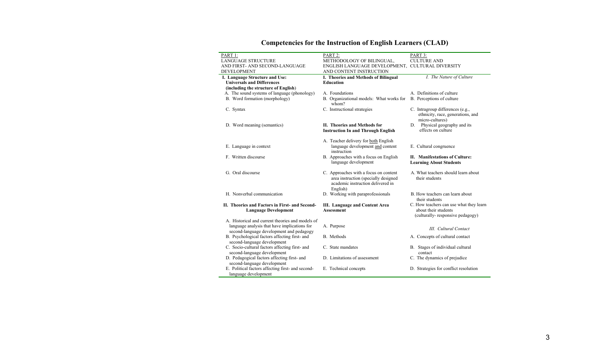| PART 1:                                           | PART 2:                                          | PART 3:                                                                                  |
|---------------------------------------------------|--------------------------------------------------|------------------------------------------------------------------------------------------|
| <b>LANGUAGE STRUCTURE</b>                         | METHODOLOGY OF BILINGUAL,                        | <b>CULTURE AND</b>                                                                       |
| AND FIRST- AND SECOND-LANGUAGE                    | ENGLISH LANGUAGE DEVELOPMENT, CULTURAL DIVERSITY |                                                                                          |
| <b>DEVELOPMENT</b>                                | AND CONTENT INSTRUCTION                          |                                                                                          |
| I. Language Structure and Use:                    | I. Theories and Methods of Bilingual             | I. The Nature of Culture                                                                 |
| <b>Universals and Differences</b>                 | <b>Education</b>                                 |                                                                                          |
| (including the structure of English)              |                                                  |                                                                                          |
| A. The sound systems of language (phonology)      | A. Foundations                                   | A. Definitions of culture                                                                |
| B. Word formation (morphology)                    | B. Organizational models: What works for         | B. Perceptions of culture                                                                |
|                                                   | whom?                                            |                                                                                          |
| C. Syntax                                         | C. Instructional strategies                      | C. Intragroup differences (e.g.,<br>ethnicity, race, generations, and<br>micro-cultures) |
| D. Word meaning (semantics)                       | II. Theories and Methods for                     | D. Physical geography and its                                                            |
|                                                   | <b>Instruction In and Through English</b>        | effects on culture                                                                       |
|                                                   |                                                  |                                                                                          |
|                                                   | A. Teacher delivery for both English             |                                                                                          |
| E. Language in context                            | language development and content                 | E. Cultural congruence                                                                   |
|                                                   | instruction                                      |                                                                                          |
| F. Written discourse                              | B. Approaches with a focus on English            | II. Manifestations of Culture:                                                           |
|                                                   | language development                             | <b>Learning About Students</b>                                                           |
|                                                   |                                                  |                                                                                          |
| G. Oral discourse                                 | C. Approaches with a focus on content            | A. What teachers should learn about                                                      |
|                                                   | area instruction (specially designed             | their students                                                                           |
|                                                   | academic instruction delivered in                |                                                                                          |
|                                                   | English)                                         |                                                                                          |
| H. Nonverbal communication                        | D. Working with paraprofessionals                | B. How teachers can learn about                                                          |
|                                                   |                                                  | their students                                                                           |
| II. Theories and Factors in First- and Second-    | III. Language and Content Area                   | C. How teachers can use what they learn                                                  |
| <b>Language Development</b>                       | <b>Assessment</b>                                | about their students                                                                     |
|                                                   |                                                  | (culturally-responsive pedagogy)                                                         |
| A. Historical and current theories and models of  |                                                  |                                                                                          |
| language analysis that have implications for      | A. Purpose                                       |                                                                                          |
| second-language development and pedagogy          |                                                  | III. Cultural Contact                                                                    |
| B. Psychological factors affecting first- and     | B. Methods                                       | A. Concepts of cultural contact                                                          |
| second-language development                       |                                                  |                                                                                          |
|                                                   |                                                  |                                                                                          |
| C. Socio-cultural factors affecting first- and    | C. State mandates                                | B. Stages of individual cultural                                                         |
| second-language development                       |                                                  | contact                                                                                  |
| D. Pedagogical factors affecting first- and       | D. Limitations of assessment                     | C. The dynamics of prejudice                                                             |
| second-language development                       |                                                  |                                                                                          |
| E. Political factors affecting first- and second- | E. Technical concepts                            | D. Strategies for conflict resolution                                                    |
| language development                              |                                                  |                                                                                          |

# **Competencies for the Instruction of English Learners (CLAD)**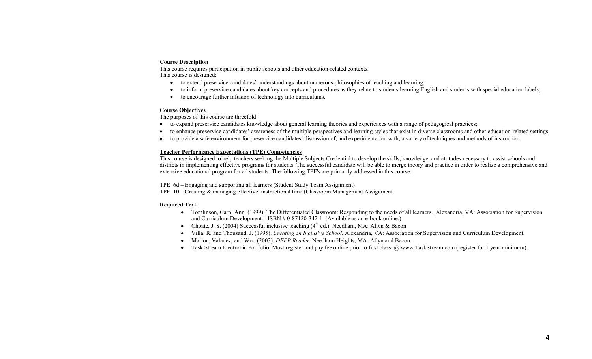### **Course Description**

This course requires participation in public schools and other education-related contexts. This course is designed:

- to extend preservice candidates' understandings about numerous philosophies of teaching and learning;
- •to inform preservice candidates about key concepts and procedures as they relate to students learning English and students with special education labels;
- $\bullet$ to encourage further infusion of technology into curriculums.

## **Course Objectives**

The purposes of this course are threefold:

- to expand preservice candidates knowledge about general learning theories and experiences with a range of pedagogical practices;
- to enhance preservice candidates' awareness of the multiple perspectives and learning styles that exist in diverse classrooms and other education-related settings;
- •to provide a safe environment for preservice candidates' discussion of, and experimentation with, a variety of techniques and methods of instruction.

## **Teacher Performance Expectations (TPE) Competencies**

This course is designed to help teachers seeking the Multiple Subjects Credential to develop the skills, knowledge, and attitudes necessary to assist schools and districts in implementing effective programs for students. The successful candidate will be able to merge theory and practice in order to realize a comprehensive and extensive educational program for all students. The following TPE's are primarily addressed in this course:

TPE 6d – Engaging and supporting all learners (Student Study Team Assignment)

TPE 10 – Creating & managing effective instructional time (Classroom Management Assignment

## **Required Text**

- Tomlinson, Carol Ann. (1999). The Differentiated Classroom: Responding to the needs of all learners. Alexandria, VA: Association for Supervision and Curriculum Development.  $\overline{ISBN \# 0-87120-342-1}$  (Available as an e-book online.)
- Choate, J. S. (2004) Successful inclusive teaching  $(4^{rd}$  ed.) Needham, MA: Allyn & Bacon.
- •Villa, R. and Thousand, J. (1995). *Creating an Inclusive School*. Alexandria, VA: Association for Supervision and Curriculum Development.
- •Marion, Valadez, and Woo (2003). *DEEP Reader.* Needham Heights, MA: Allyn and Bacon.
- Task Stream Electronic Portfolio, Must register and pay fee online prior to first class @ www.TaskStream.com (register for 1 year minimum).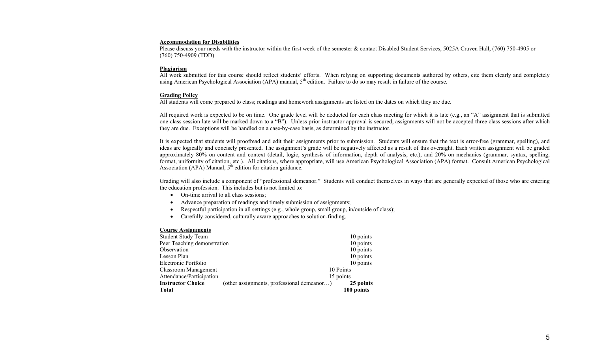#### **Accommodation for Disabilities**

Please discuss your needs with the instructor within the first week of the semester & contact Disabled Student Services, 5025A Craven Hall, (760) 750-4905 or (760) 750-4909 (TDD).

#### **Plagiarism**

All work submitted for this course should reflect students' efforts. When relying on supporting documents authored by others, cite them clearly and completely using American Psychological Association (APA) manual,  $5<sup>th</sup>$  edition. Failure to do so may result in failure of the course.

#### **Grading Policy**

All students will come prepared to class; readings and homework assignments are listed on the dates on which they are due.

All required work is expected to be on time. One grade level will be deducted for each class meeting for which it is late (e.g., an "A" assignment that is submitted one class session late will be marked down to a "B"). Unless prior instructor approval is secured, assignments will not be accepted three class sessions after which they are due. Exceptions will be handled on a case-by-case basis, as determined by the instructor.

It is expected that students will proofread and edit their assignments prior to submission. Students will ensure that the text is error-free (grammar, spelling), and ideas are logically and concisely presented. The assignment's grade will be negatively affected as a result of this oversight. Each written assignment will be graded approximately 80% on content and context (detail, logic, synthesis of information, depth of analysis, etc.), and 20% on mechanics (grammar, syntax, spelling, format, uniformity of citation, etc.). All citations, where appropriate, will use American Psychological Association (APA) format. Consult American Psychological Association (APA) Manual,  $5<sup>th</sup>$  edition for citation guidance.

Grading will also include a component of "professional demeanor." Students will conduct themselves in ways that are generally expected of those who are entering the education profession. This includes but is not limited to:

- On-time arrival to all class sessions;
- Advance preparation of readings and timely submission of assignments;
- $\bullet$ Respectful participation in all settings (e.g., whole group, small group, in/outside of class);
- Carefully considered, culturally aware approaches to solution-finding.

#### **Course Assignments**

| <b>Student Study Team</b>   |                                            | 10 points  |
|-----------------------------|--------------------------------------------|------------|
| Peer Teaching demonstration |                                            | 10 points  |
| Observation                 |                                            | 10 points  |
| Lesson Plan                 |                                            | 10 points  |
| Electronic Portfolio        |                                            | 10 points  |
| Classroom Management        |                                            | 10 Points  |
| Attendance/Participation    |                                            | 15 points  |
| <b>Instructor Choice</b>    | (other assignments, professional demeanor) | 25 points  |
| Total                       |                                            | 100 points |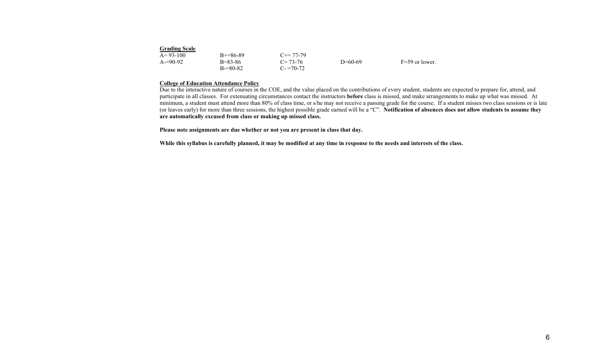| <b>Grading Scale</b> |               |                     |           |                  |
|----------------------|---------------|---------------------|-----------|------------------|
| $A=93-100$           | $B+=86-89$    | $C_{\pm} = 77 - 79$ |           |                  |
| $A = 90-92$          | $B = 83 - 86$ | $C = 73-76$         | $D=60-69$ | $F=59$ or lower. |
|                      | $B = 80 - 82$ | $C = 70-72$         |           |                  |

## **College of Education Attendance Policy**

Due to the interactive nature of courses in the COE, and the value placed on the contributions of every student, students are expected to prepare for, attend, and participate in all classes. For extenuating circumstances contact the instructors **before** class is missed, and make arrangements to make up what was missed. At minimum, a student must attend more than 80% of class time, or s/he may not receive a passing grade for the course. If a student misses two class sessions or is late (or leaves early) for more than three sessions, the highest possible grade earned will be a "C". **Notification of absences does not allow students to assume they are automatically excused from class or making up missed class.** 

**Please note assignments are due whether or not you are present in class that day.** 

**While this syllabus is carefully planned, it may be modified at any time in response to the needs and interests of the class.**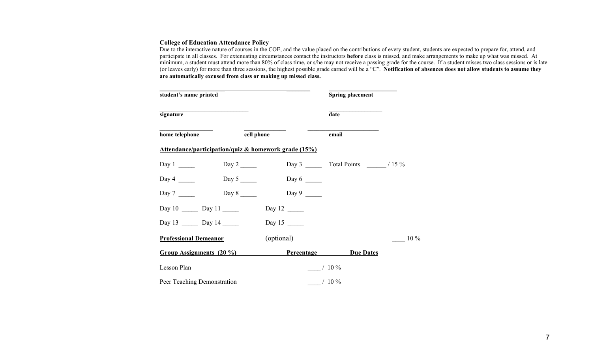## **College of Education Attendance Policy**

Due to the interactive nature of courses in the COE, and the value placed on the contributions of every student, students are expected to prepare for, attend, and participate in all classes. For extenuating circumstances contact the instructors **before** class is missed, and make arrangements to make up what was missed. At minimum, a student must attend more than 80% of class time, or s/he may not receive a passing grade for the course. If a student misses two class sessions or is late (or leaves early) for more than three sessions, the highest possible grade earned will be a "C". **Notification of absences does not allow students to assume they are automatically excused from class or making up missed class.** 

| student's name printed       |                                  |                                                                 | <b>Spring placement</b> |        |
|------------------------------|----------------------------------|-----------------------------------------------------------------|-------------------------|--------|
| signature                    |                                  |                                                                 | date                    |        |
| home telephone               | cell phone                       |                                                                 | email                   |        |
|                              |                                  | <u>Attendance/participation/quiz &amp; homework grade (15%)</u> |                         |        |
| Day $1 \_\_\_\_\_\_\_\_\$    | Day 2 $\_\_\_\_\_\_\_\_\$        |                                                                 |                         |        |
| Day 4 $\frac{ }{ }$          | Day $5 \_\_\_\_\_\$              | Day 6 $\frac{ }{ }$                                             |                         |        |
| Day $7 \_\_\_\_\_\_\$        | Day $8 \underline{\hspace{1cm}}$ |                                                                 |                         |        |
| Day $10 \_$ Day $11 \_$      |                                  |                                                                 |                         |        |
| Day 13 $\frac{13}{2}$ Day 14 |                                  |                                                                 |                         |        |
| <b>Professional Demeanor</b> |                                  | (optional)                                                      |                         | $10\%$ |
| Group Assignments (20 %)     |                                  | <b>Percentage</b>                                               | <b>Due Dates</b>        |        |
| Lesson Plan                  |                                  |                                                                 | $/10\%$                 |        |
| Peer Teaching Demonstration  |                                  |                                                                 | $/10\%$                 |        |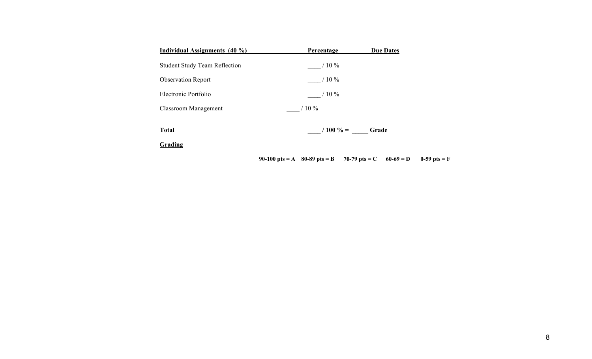| Individual Assignments (40 %)        | Percentage                                           | <b>Due Dates</b> |                |
|--------------------------------------|------------------------------------------------------|------------------|----------------|
| <b>Student Study Team Reflection</b> | $/10\%$                                              |                  |                |
| <b>Observation Report</b>            | $/10\%$                                              |                  |                |
| Electronic Portfolio                 | $/10\%$                                              |                  |                |
| <b>Classroom Management</b>          | $/10\%$                                              |                  |                |
| <b>Total</b><br>Grading              |                                                      | $/100\% =$ Grade |                |
|                                      | 90-100 pts = A 80-89 pts = B 70-79 pts = C 60-69 = D |                  | 0-59 pts = $F$ |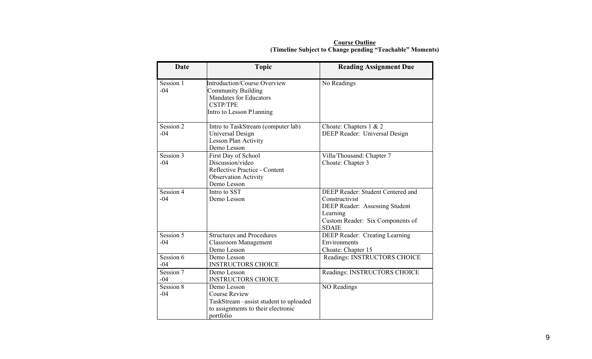| Date               | <b>Topic</b>                                                                                                                                     | <b>Reading Assignment Due</b>                                                                                                                         |
|--------------------|--------------------------------------------------------------------------------------------------------------------------------------------------|-------------------------------------------------------------------------------------------------------------------------------------------------------|
| Session 1<br>$-04$ | <b>Introduction/Course Overview</b><br><b>Community Building</b><br><b>Mandates for Educators</b><br><b>CSTP/TPE</b><br>Intro to Lesson Planning | No Readings                                                                                                                                           |
| Session 2<br>$-04$ | Intro to TaskStream (computer lab)<br>Universal Design<br><b>Lesson Plan Activity</b><br>Demo Lesson                                             | Choate: Chapters 1 & 2<br>DEEP Reader: Universal Design                                                                                               |
| Session 3<br>$-04$ | First Day of School<br>Discussion/video<br>Reflective Practice - Content<br><b>Observation Activity</b><br>Demo Lesson                           | Villa/Thousand: Chapter 7<br>Choate: Chapter 3                                                                                                        |
| Session 4<br>$-04$ | Intro to SST<br>Demo Lesson                                                                                                                      | DEEP Reader: Student Centered and<br>Constructivist<br>DEEP Reader: Assessing Student<br>Learning<br>Custom Reader: Six Components of<br><b>SDAIE</b> |
| Session 5<br>$-04$ | <b>Structures and Procedures</b><br><b>Classroom Management</b><br>Demo Lesson                                                                   | <b>DEEP Reader: Creating Learning</b><br>Environments<br>Choate: Chapter 15                                                                           |
| Session 6<br>$-04$ | Demo Lesson<br><b>INSTRUCTORS CHOICE</b>                                                                                                         | Readings: INSTRUCTORS CHOICE                                                                                                                          |
| Session 7<br>$-04$ | Demo Lesson<br><b>INSTRUCTORS CHOICE</b>                                                                                                         | Readings: INSTRUCTORS CHOICE                                                                                                                          |
| Session 8<br>$-04$ | Demo Lesson<br><b>Course Review</b><br>TaskStream - assist student to uploaded<br>to assignments to their electronic<br>portfolio                | <b>NO Readings</b>                                                                                                                                    |

**Course Outline (Timeline Subject to Change pending "Teachable" Moments)**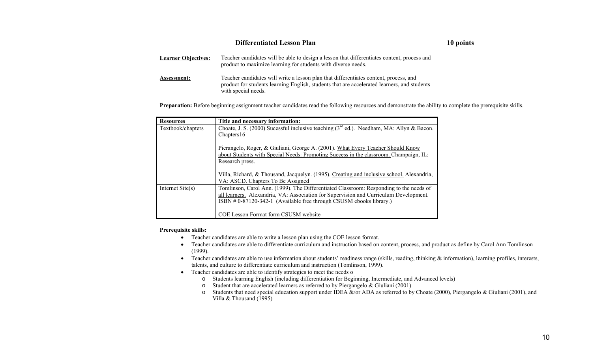| <b>Differentiated Lesson Plan</b> |                                                                                                                                                                                                             |  |
|-----------------------------------|-------------------------------------------------------------------------------------------------------------------------------------------------------------------------------------------------------------|--|
| <b>Learner Objectives:</b>        | Teacher candidates will be able to design a lesson that differentiates content, process and<br>product to maximize learning for students with diverse needs.                                                |  |
| <b>Assessment:</b>                | Teacher candidates will write a lesson plan that differentiates content, process, and<br>product for students learning English, students that are accelerated learners, and students<br>with special needs. |  |

Preparation: Before beginning assignment teacher candidates read the following resources and demonstrate the ability to complete the prerequisite skills.

**10 points** 

| <b>Resources</b>  | Title and necessary information:                                                                                                                                                                                                                      |  |
|-------------------|-------------------------------------------------------------------------------------------------------------------------------------------------------------------------------------------------------------------------------------------------------|--|
| Textbook/chapters | Choate, J. S. (2000) Sucessful inclusive teaching (3 <sup>rd</sup> ed.). Needham, MA: Allyn & Bacon.                                                                                                                                                  |  |
|                   | Chapters 16                                                                                                                                                                                                                                           |  |
|                   | Pierangelo, Roger, & Giuliani, George A. (2001). What Every Teacher Should Know<br>about Students with Special Needs: Promoting Success in the classroom. Champaign, IL:<br>Research press.                                                           |  |
|                   | Villa, Richard, & Thousand, Jacquelyn. (1995). Creating and inclusive school. Alexandria,<br>VA: ASCD. Chapters To Be Assigned                                                                                                                        |  |
| Internet Site(s)  | Tomlinson, Carol Ann. (1999). The Differentiated Classroom: Responding to the needs of<br>all learners. Alexandria, VA: Association for Supervision and Curriculum Development.<br>ISBN #0-87120-342-1 (Available free through CSUSM ebooks library.) |  |
|                   | COE Lesson Format form CSUSM website                                                                                                                                                                                                                  |  |

## **Prerequisite skills:**

- Teacher candidates are able to write a lesson plan using the COE lesson format.
- Teacher candidates are able to differentiate curriculum and instruction based on content, process, and product as define by Carol Ann Tomlinson (1999).
- Teacher candidates are able to use information about students' readiness range (skills, reading, thinking  $\&$  information), learning profiles, interests, talents, and culture to differentiate curriculum and instruction (Tomlinson, 1999).
- Teacher candidates are able to identify strategies to meet the needs o
	- o Students learning English (including differentiation for Beginning, Intermediate, and Advanced levels)
	- $\circ$  Student that are accelerated learners as referred to by Piergangelo & Giuliani (2001)
	- $\circ$  Students that need special education support under IDEA &/or ADA as referred to by Choate (2000), Piergangelo & Giuliani (2001), and Villa & Thousand (1995)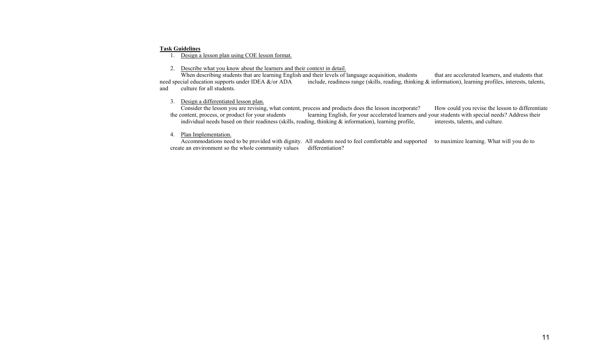#### **Task Guidelines**

1. Design a lesson plan using COE lesson format.

## 2. Describe what you know about the learners and their context in detail.

When describing students that are learning English and their levels of language acquisition, students that are accelerated learners, and students that need special education supports under IDEA  $\&$ /or ADA include, readine include, readiness range (skills, reading, thinking  $\&$  information), learning profiles, interests, talents, and culture for all students.

### 3. Design a differentiated lesson plan.

Consider the lesson you are revising, what content, process and products does the lesson incorporate? How could you revise the lesson to differentiate<br>the content, process, or product for your students<br>learning English, fo the content, product for your accelerated learners and your students with special needs? Address their ling, thinking  $\&$  information), learning profile, interests, talents, and culture. individual needs based on their readiness (skills, reading, thinking  $\&$  information), learning profile,

## 4. Plan Implementation.

 Accommodations need to be provided with dignity. All students need to feel comfortable and supported to maximize learning. What will you do to create an environment so the whole community values differentiation?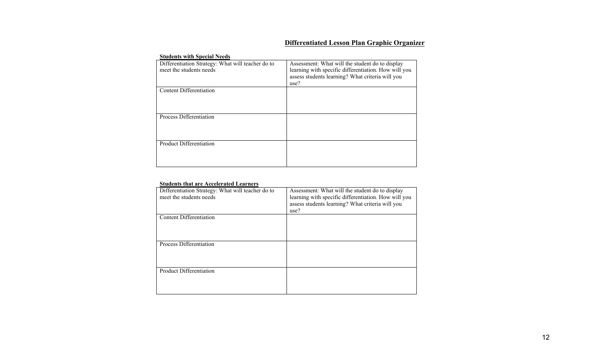# **Differentiated Lesson Plan Graphic Organizer**

## **Students with Special Needs**

| Differentiation Strategy: What will teacher do to<br>meet the students needs | Assessment: What will the student do to display<br>learning with specific differentiation. How will you<br>assess students learning? What criteria will you<br>use? |
|------------------------------------------------------------------------------|---------------------------------------------------------------------------------------------------------------------------------------------------------------------|
| Content Differentiation                                                      |                                                                                                                                                                     |
| Process Differentiation                                                      |                                                                                                                                                                     |
| <b>Product Differentiation</b>                                               |                                                                                                                                                                     |

#### **Students that are Accelerated Learners**

| Differentiation Strategy: What will teacher do to | Assessment: What will the student do to display      |
|---------------------------------------------------|------------------------------------------------------|
| meet the students needs                           | learning with specific differentiation. How will you |
|                                                   | assess students learning? What criteria will you     |
|                                                   | use?                                                 |
| Content Differentiation                           |                                                      |
|                                                   |                                                      |
|                                                   |                                                      |
|                                                   |                                                      |
| Process Differentiation                           |                                                      |
|                                                   |                                                      |
|                                                   |                                                      |
|                                                   |                                                      |
| <b>Product Differentiation</b>                    |                                                      |
|                                                   |                                                      |
|                                                   |                                                      |
|                                                   |                                                      |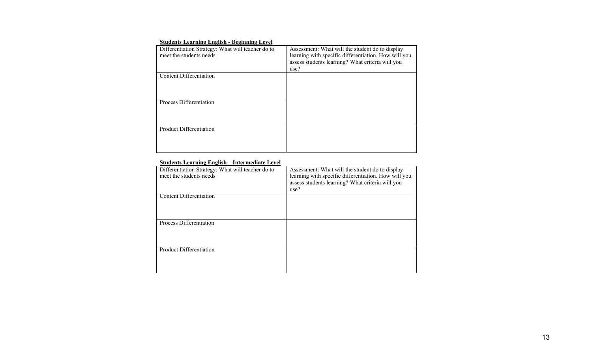## **Students Learning English - Beginning Level**

| Differentiation Strategy: What will teacher do to<br>meet the students needs | Assessment: What will the student do to display<br>learning with specific differentiation. How will you<br>assess students learning? What criteria will you<br>use? |
|------------------------------------------------------------------------------|---------------------------------------------------------------------------------------------------------------------------------------------------------------------|
| Content Differentiation                                                      |                                                                                                                                                                     |
| Process Differentiation                                                      |                                                                                                                                                                     |
| <b>Product Differentiation</b>                                               |                                                                                                                                                                     |

## **Students Learning English – Intermediate Level**

| Differentiation Strategy: What will teacher do to<br>meet the students needs | Assessment: What will the student do to display<br>learning with specific differentiation. How will you<br>assess students learning? What criteria will you<br>use? |
|------------------------------------------------------------------------------|---------------------------------------------------------------------------------------------------------------------------------------------------------------------|
| <b>Content Differentiation</b>                                               |                                                                                                                                                                     |
| Process Differentiation                                                      |                                                                                                                                                                     |
| Product Differentiation                                                      |                                                                                                                                                                     |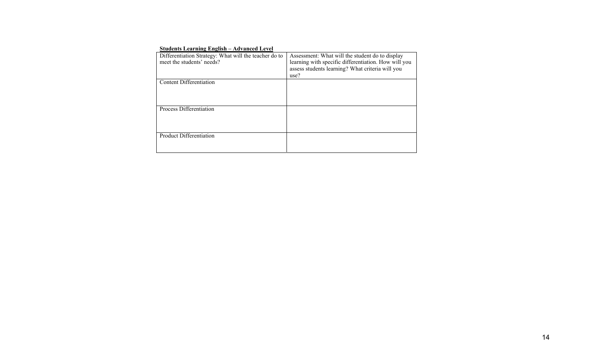| $\beta$ tuuchts Leaf hing English – Auvanceu Level    |                                                      |
|-------------------------------------------------------|------------------------------------------------------|
| Differentiation Strategy: What will the teacher do to | Assessment: What will the student do to display      |
| meet the students' needs?                             | learning with specific differentiation. How will you |
|                                                       | assess students learning? What criteria will you     |
|                                                       | use?                                                 |
| Content Differentiation                               |                                                      |
|                                                       |                                                      |
|                                                       |                                                      |
|                                                       |                                                      |
| Process Differentiation                               |                                                      |
|                                                       |                                                      |
|                                                       |                                                      |
|                                                       |                                                      |
| <b>Product Differentiation</b>                        |                                                      |
|                                                       |                                                      |
|                                                       |                                                      |

## **Students Learning English – Advanced Level**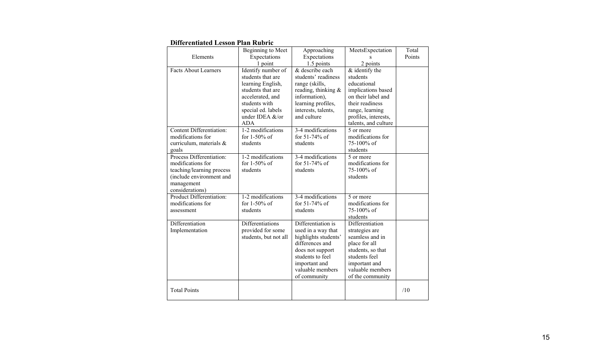| <b>Differentiated Lesson Plan Rubric</b> |
|------------------------------------------|
|------------------------------------------|

|                                   | Beginning to Meet     | Approaching            | MeetsExpectation                | Total  |
|-----------------------------------|-----------------------|------------------------|---------------------------------|--------|
| Elements                          | Expectations          | Expectations           |                                 | Points |
|                                   | 1 point               | 1.5 points             | 2 points                        |        |
| <b>Facts About Learners</b>       | Identify number of    | & describe each        | $&$ identify the                |        |
|                                   | students that are     | students' readiness    | students                        |        |
|                                   | learning English,     | range (skills,         | educational                     |        |
|                                   | students that are     | reading, thinking $\&$ | implications based              |        |
|                                   | accelerated, and      | information),          | on their label and              |        |
|                                   | students with         | learning profiles,     | their readiness                 |        |
|                                   | special ed. labels    | interests, talents,    | range, learning                 |        |
|                                   | under IDEA &/or       | and culture            | profiles, interests,            |        |
|                                   | <b>ADA</b>            |                        | talents, and culture            |        |
| <b>Content Differentiation:</b>   | 1-2 modifications     | 3-4 modifications      | 5 or more                       |        |
| modifications for                 | for $1-50\%$ of       | for 51-74% of          | modifications for<br>75-100% of |        |
| curriculum, materials &           | students              | students               | students                        |        |
| goals<br>Process Differentiation: | 1-2 modifications     | 3-4 modifications      | 5 or more                       |        |
| modifications for                 | for 1-50% of          | for 51-74% of          | modifications for               |        |
| teaching/learning process         | students              | students               | 75-100% of                      |        |
| (include environment and          |                       |                        | students                        |        |
| management                        |                       |                        |                                 |        |
| considerations)                   |                       |                        |                                 |        |
| Product Differentiation:          | 1-2 modifications     | 3-4 modifications      | 5 or more                       |        |
| modifications for                 | for $1-50\%$ of       | for 51-74% of          | modifications for               |        |
| assessment                        | students              | students               | 75-100% of                      |        |
|                                   |                       |                        | students                        |        |
| Differentiation                   | Differentiations      | Differentiation is     | Differentiation                 |        |
| Implementation                    | provided for some     | used in a way that     | strategies are                  |        |
|                                   | students, but not all | highlights students'   | seamless and in                 |        |
|                                   |                       | differences and        | place for all                   |        |
|                                   |                       | does not support       | students, so that               |        |
|                                   |                       | students to feel       | students feel                   |        |
|                                   |                       | important and          | important and                   |        |
|                                   |                       | valuable members       | valuable members                |        |
|                                   |                       | of community           | of the community                |        |
| <b>Total Points</b>               |                       |                        |                                 | /10    |
|                                   |                       |                        |                                 |        |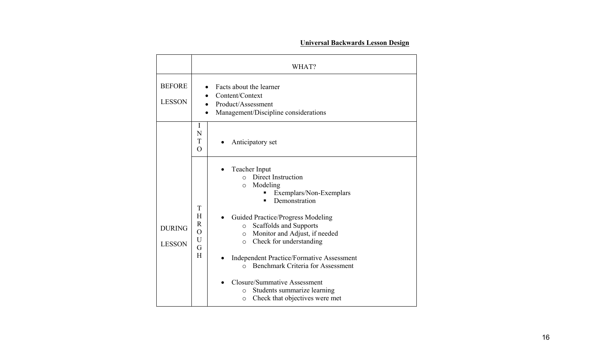# **Universal Backwards Lesson Design**

|                                | WHAT?                                                                                                                                                                                                                                                                                                                                                                                                                                                                                                                                                                                        |  |  |  |  |
|--------------------------------|----------------------------------------------------------------------------------------------------------------------------------------------------------------------------------------------------------------------------------------------------------------------------------------------------------------------------------------------------------------------------------------------------------------------------------------------------------------------------------------------------------------------------------------------------------------------------------------------|--|--|--|--|
| <b>BEFORE</b><br><b>LESSON</b> | Facts about the learner<br>Content/Context<br>Product/Assessment<br>$\bullet$<br>Management/Discipline considerations                                                                                                                                                                                                                                                                                                                                                                                                                                                                        |  |  |  |  |
|                                | I<br>N<br>T<br>Anticipatory set<br>$\Omega$                                                                                                                                                                                                                                                                                                                                                                                                                                                                                                                                                  |  |  |  |  |
| <b>DURING</b><br><b>LESSON</b> | Teacher Input<br>Direct Instruction<br>$\Omega$<br>Modeling<br>$\circ$<br>Exemplars/Non-Exemplars<br>Demonstration<br>T<br>H<br>Guided Practice/Progress Modeling<br>$\mathbf R$<br>Scaffolds and Supports<br>$\circ$<br>$\overline{O}$<br>Monitor and Adjust, if needed<br>$\circ$<br>$\mathbf U$<br>Check for understanding<br>$\circ$<br>G<br>H<br><b>Independent Practice/Formative Assessment</b><br><b>Benchmark Criteria for Assessment</b><br>$\Omega$<br><b>Closure/Summative Assessment</b><br>Students summarize learning<br>$\circ$<br>Check that objectives were met<br>$\circ$ |  |  |  |  |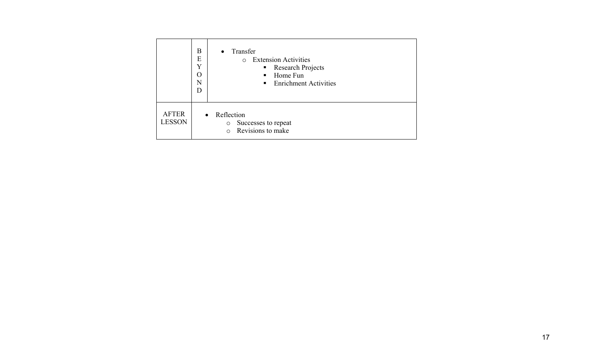|                               | B<br>E<br>Y<br>$\mathcal{O}$<br>N<br>D | Transfer<br>$\bullet$<br><b>Extension Activities</b><br>$\bigcirc$<br><b>Research Projects</b><br>$\blacksquare$<br>Home Fun<br>п.<br>• Enrichment Activities |
|-------------------------------|----------------------------------------|---------------------------------------------------------------------------------------------------------------------------------------------------------------|
| <b>AFTER</b><br><b>LESSON</b> |                                        | Reflection<br>$\bullet$<br>Successes to repeat<br>$\circ$<br>Revisions to make<br>$\Omega$                                                                    |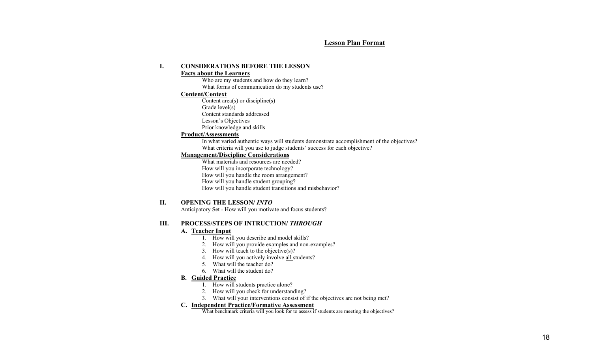## **Lesson Plan Format**

#### **I.CONSIDERATIONS BEFORE THE LESSON**

#### **Facts about the Learners**

Who are my students and how do they learn? What forms of communication do my students use?

## **Content/Context**

Content area(s) or discipline(s) Grade level(s) Content standards addressed Lesson's Objectives

Prior knowledge and skills

## **Product/Assessments**

In what varied authentic ways will students demonstrate accomplishment of the objectives? What criteria will you use to judge students' success for each objective?

## **Management/Discipline Considerations**

What materials and resources are needed? How will you incorporate technology? How will you handle the room arrangement? How will you handle student grouping? How will you handle student transitions and misbehavior?

## **II. OPENING THE LESSON/** *INTO*

Anticipatory Set - How will you motivate and focus students?

## **III. PROCESS/STEPS OF INTRUCTION/** *THROUGH*

## **A. Teacher Input**

- 1. How will you describe and model skills?
- 2. How will you provide examples and non-examples?
- 3. How will teach to the objective(s)?
- 4. How will you actively involve all students?
- 5. What will the teacher do?
- 6. What will the student do?

#### **B. Guided Practice**

- 1. How will students practice alone?
- 2. How will you check for understanding?
- 3. What will your interventions consist of if the objectives are not being met?

## **C. Independent Practice/Formative Assessment**

What benchmark criteria will you look for to assess if students are meeting the objectives?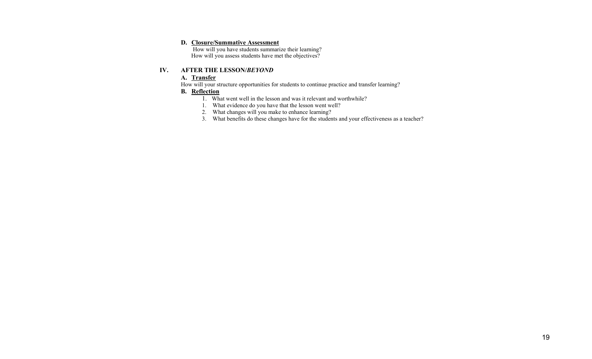## **D. Closure/Summative Assessment**

 How will you have students summarize their learning? How will you assess students have met the objectives?

## **IV. AFTER THE LESSON/***BEYOND*

## **A. Transfer**

How will your structure opportunities for students to continue practice and transfer learning?

## **B. Reflection**

- 1. What went well in the lesson and was it relevant and worthwhile?
- 1. What evidence do you have that the lesson went well?
- 2. What changes will you make to enhance learning?
- 3. What benefits do these changes have for the students and your effectiveness as a teacher?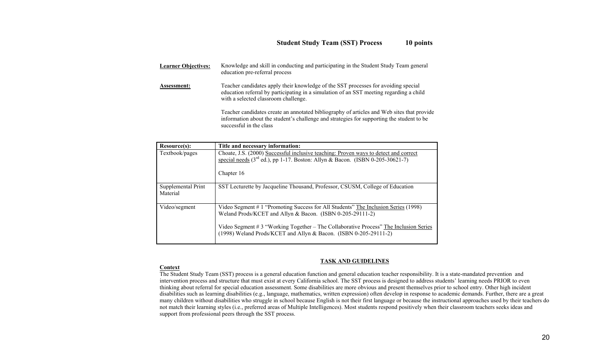| <b>Learner Objectives:</b> | Knowledge and skill in conducting and participating in the Student Study Team general<br>education pre-referral process                                                                                               |
|----------------------------|-----------------------------------------------------------------------------------------------------------------------------------------------------------------------------------------------------------------------|
| Assessment:                | Teacher candidates apply their knowledge of the SST processes for avoiding special<br>education referral by participating in a simulation of an SST meeting regarding a child<br>with a selected classroom challenge. |
|                            | Teacher candidates create an annotated bibliography of articles and Web sites that provide<br>information about the student's challenge and strategies for supporting the student to be<br>successful in the class    |

| Resource(s):                   | Title and necessary information:                                                                                                                                                                                                                                                                           |
|--------------------------------|------------------------------------------------------------------------------------------------------------------------------------------------------------------------------------------------------------------------------------------------------------------------------------------------------------|
| Textbook/pages                 | Choate, J.S. (2000) Successful inclusive teaching: Proven ways to detect and correct<br>special needs $(3rd$ ed.), pp 1-17. Boston: Allyn & Bacon. (ISBN 0-205-30621-7)<br>Chapter 16                                                                                                                      |
| Supplemental Print<br>Material | SST Lecturette by Jacqueline Thousand, Professor, CSUSM, College of Education                                                                                                                                                                                                                              |
| Video/segment                  | Video Segment #1 "Promoting Success for All Students" The Inclusion Series (1998)<br>Weland Prods/KCET and Allyn & Bacon. (ISBN 0-205-29111-2)<br>Video Segment #3 "Working Together – The Collaborative Process" The Inclusion Series<br>(1998) Weland Prods/KCET and Allyn & Bacon. (ISBN 0-205-29111-2) |

## **TASK AND GUIDELINES**

## **Context**

The Student Study Team (SST) process is a general education function and general education teacher responsibility. It is a state-mandated prevention and intervention process and structure that must exist at every California school. The SST process is designed to address students' learning needs PRIOR to even thinking about referral for special education assessment. Some disabilities are more obvious and present themselves prior to school entry. Other high incident disabilities such as learning disabilities (e.g., language, mathematics, written expression) often develop in response to academic demands. Further, there are a great many children without disabilities who struggle in school because English is not their first language or because the instructional approaches used by their teachers do not match their learning styles (i.e., preferred areas of Multiple Intelligences). Most students respond positively when their classroom teachers seeks ideas and support from professional peers through the SST process.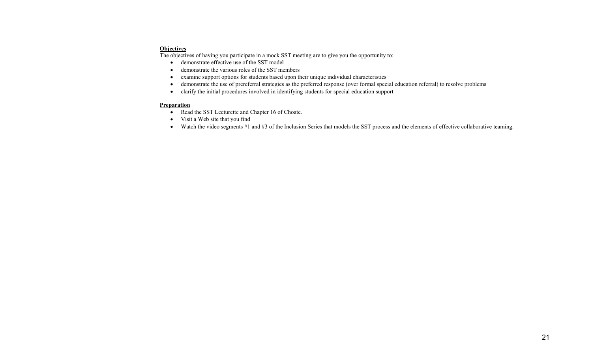## **Objectives**

The objectives of having you participate in a mock SST meeting are to give you the opportunity to:

- demonstrate effective use of the SST model
- •demonstrate the various roles of the SST members
- •examine support options for students based upon their unique individual characteristics
- •demonstrate the use of prereferral strategies as the preferred response (over formal special education referral) to resolve problems
- clarify the initial procedures involved in identifying students for special education support

## **Preparation**

- Read the SST Lecturette and Chapter 16 of Choate.
- Visit a Web site that you find
- Watch the video segments #1 and #3 of the Inclusion Series that models the SST process and the elements of effective collaborative teaming.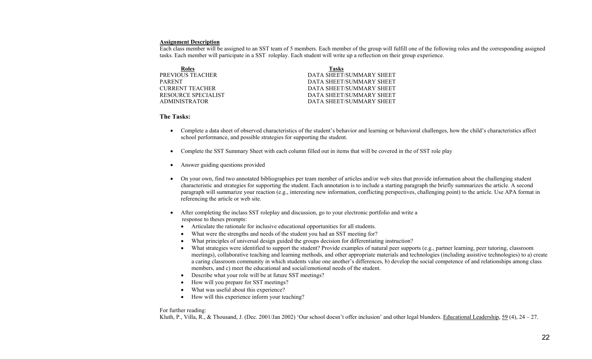#### **Assignment Description**

Each class member will be assigned to an SST team of 5 members. Each member of the group will fulfill one of the following roles and the corresponding assigned tasks. Each member will participate in a SST roleplay. Each student will write up a reflection on their group experience.

| Roles                  | Tasks                    |
|------------------------|--------------------------|
| PREVIOUS TEACHER       | DATA SHEET/SUMMARY SHEET |
| <b>PARENT</b>          | DATA SHEET/SUMMARY SHEET |
| <b>CURRENT TEACHER</b> | DATA SHEET/SUMMARY SHEET |
| RESOURCE SPECIALIST    | DATA SHEET/SUMMARY SHEET |
| ADMINISTRATOR          | DATA SHEET/SUMMARY SHEET |

### **The Tasks:**

- Complete a data sheet of observed characteristics of the student's behavior and learning or behavioral challenges, how the child's characteristics affect school performance, and possible strategies for supporting the student.
- •Complete the SST Summary Sheet with each column filled out in items that will be covered in the of SST role play
- $\bullet$ Answer guiding questions provided
- • On your own, find two annotated bibliographies per team member of articles and/or web sites that provide information about the challenging student characteristic and strategies for supporting the student. Each annotation is to include a starting paragraph the briefly summarizes the article. A second paragraph will summarize your reaction (e.g., interesting new information, conflicting perspectives, challenging point) to the article. Use APA format in referencing the article or web site.
- $\bullet$  After completing the inclass SST roleplay and discussion, go to your electronic portfolio and write a response to theses prompts:
	- Articulate the rationale for inclusive educational opportunities for all students.
	- •What were the strengths and needs of the student you had an SST meeting for?
	- •What principles of universal design guided the groups decision for differentiating instruction?
	- •What strategies were identified to support the student? Provide examples of natural peer supports (e.g., partner learning, peer tutoring, classroom meetings), collaborative teaching and learning methods, and other appropriate materials and technologies (including assistive technologies) to a) create a caring classroom community in which students value one another's differences, b) develop the social competence of and relationships among class members, and c) meet the educational and social/emotional needs of the student.
	- •Describe what your role will be at future SST meetings?
	- •How will you prepare for SST meetings?
	- •What was useful about this experience?
	- •How will this experience inform your teaching?

## For further reading:

Kluth, P., Villa, R., & Thousand, J. (Dec. 2001/Jan 2002) 'Our school doesn't offer inclusion' and other legal blunders. Educational Leadership, 59 (4), 24 – 27.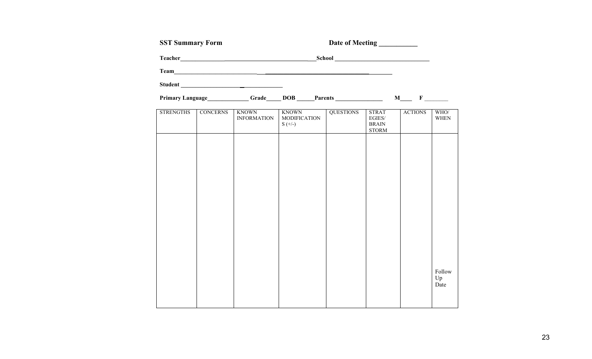| <b>SST Summary Form</b> |                 |                                    |                                                  |                            |                                                              |                |                      |
|-------------------------|-----------------|------------------------------------|--------------------------------------------------|----------------------------|--------------------------------------------------------------|----------------|----------------------|
|                         |                 | Teacher <b>Example 2018</b>        |                                                  | School <b>Example 2018</b> |                                                              |                |                      |
|                         |                 |                                    |                                                  |                            |                                                              |                |                      |
|                         |                 | Student                            |                                                  |                            |                                                              |                |                      |
|                         |                 |                                    | Primary Language Grade DOB Parents M F           |                            |                                                              |                |                      |
| <b>STRENGTHS</b>        | <b>CONCERNS</b> | <b>KNOWN</b><br><b>INFORMATION</b> | <b>KNOWN</b><br><b>MODIFICATION</b><br>$S (+/-)$ | <b>QUESTIONS</b>           | <b>STRAT</b><br>$\rm EGIES/$<br><b>BRAIN</b><br><b>STORM</b> | <b>ACTIONS</b> | WHO/<br><b>WHEN</b>  |
|                         |                 |                                    |                                                  |                            |                                                              |                |                      |
|                         |                 |                                    |                                                  |                            |                                                              |                |                      |
|                         |                 |                                    |                                                  |                            |                                                              |                |                      |
|                         |                 |                                    |                                                  |                            |                                                              |                |                      |
|                         |                 |                                    |                                                  |                            |                                                              |                |                      |
|                         |                 |                                    |                                                  |                            |                                                              |                |                      |
|                         |                 |                                    |                                                  |                            |                                                              |                | Follow<br>Up<br>Date |
|                         |                 |                                    |                                                  |                            |                                                              |                |                      |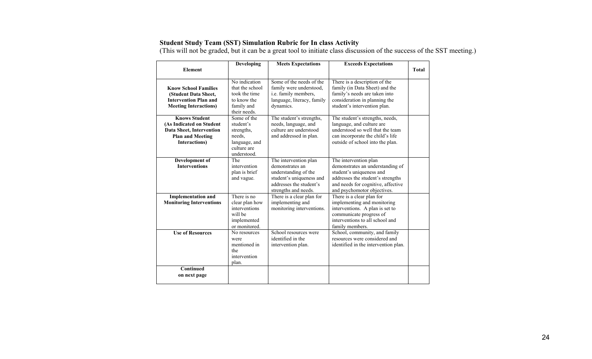## **Student Study Team (SST) Simulation Rubric for In class Activity**

(This will not be graded, but it can be a great tool to initiate class discussion of the success of the SST meeting.)

|                                                                                                                          | Developing<br><b>Meets Expectations</b><br><b>Exceeds Expectations</b>                          |                                                                                                                                                 |                                                                                                                                                                                                 |              |
|--------------------------------------------------------------------------------------------------------------------------|-------------------------------------------------------------------------------------------------|-------------------------------------------------------------------------------------------------------------------------------------------------|-------------------------------------------------------------------------------------------------------------------------------------------------------------------------------------------------|--------------|
| <b>Element</b>                                                                                                           |                                                                                                 |                                                                                                                                                 |                                                                                                                                                                                                 | <b>Total</b> |
| <b>Know School Families</b><br>(Student Data Sheet,<br><b>Intervention Plan and</b><br><b>Meeting Interactions)</b>      | No indication<br>that the school<br>took the time<br>to know the<br>family and<br>their needs.  | Some of the needs of the<br>family were understood,<br>i.e. family members,<br>language, literacy, family<br>dynamics.                          | There is a description of the<br>family (in Data Sheet) and the<br>family's needs are taken into<br>consideration in planning the<br>student's intervention plan.                               |              |
| <b>Knows Student</b><br>(As Indicated on Student<br>Data Sheet, Intervention<br><b>Plan and Meeting</b><br>Interactions) | Some of the<br>student's<br>strengths,<br>needs.<br>language, and<br>culture are<br>understood. | The student's strengths,<br>needs, language, and<br>culture are understood<br>and addressed in plan.                                            | The student's strengths, needs,<br>language, and culture are<br>understood so well that the team<br>can incorporate the child's life<br>outside of school into the plan.                        |              |
| Development of<br><b>Interventions</b>                                                                                   | The<br>intervention<br>plan is brief<br>and vague.                                              | The intervention plan<br>demonstrates an<br>understanding of the<br>student's uniqueness and<br>addresses the student's<br>strengths and needs. | The intervention plan<br>demonstrates an understanding of<br>student's uniqueness and<br>addresses the student's strengths<br>and needs for cognitive, affective<br>and psychomotor objectives. |              |
| <b>Implementation and</b><br><b>Monitoring Interventions</b>                                                             | There is no<br>clear plan how<br>interventions<br>will be<br>implemented<br>or monitored.       | There is a clear plan for<br>implementing and<br>monitoring interventions.                                                                      | There is a clear plan for<br>implementing and monitoring<br>interventions. A plan is set to<br>communicate progress of<br>interventions to all school and<br>family members.                    |              |
| <b>Use of Resources</b>                                                                                                  | No resources<br>were<br>mentioned in<br>the<br>intervention<br>plan.                            | School resources were<br>identified in the<br>intervention plan.                                                                                | School, community, and family<br>resources were considered and<br>identified in the intervention plan.                                                                                          |              |
| Continued<br>on next page                                                                                                |                                                                                                 |                                                                                                                                                 |                                                                                                                                                                                                 |              |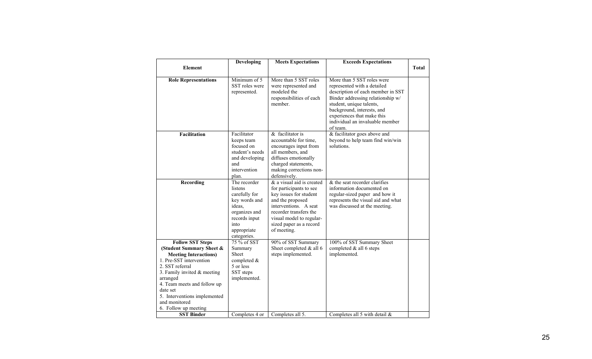|                                                                                                                                                                                                                                             | Developing                                                                                                                                  | <b>Meets Expectations</b>                                                                                                                                                                                                   | <b>Exceeds Expectations</b>                                                                                                                                                                                                                                                |              |
|---------------------------------------------------------------------------------------------------------------------------------------------------------------------------------------------------------------------------------------------|---------------------------------------------------------------------------------------------------------------------------------------------|-----------------------------------------------------------------------------------------------------------------------------------------------------------------------------------------------------------------------------|----------------------------------------------------------------------------------------------------------------------------------------------------------------------------------------------------------------------------------------------------------------------------|--------------|
| <b>Element</b>                                                                                                                                                                                                                              |                                                                                                                                             |                                                                                                                                                                                                                             |                                                                                                                                                                                                                                                                            | <b>Total</b> |
|                                                                                                                                                                                                                                             |                                                                                                                                             |                                                                                                                                                                                                                             |                                                                                                                                                                                                                                                                            |              |
| <b>Role Representations</b>                                                                                                                                                                                                                 | Minimum of 5<br>SST roles were<br>represented.                                                                                              | More than 5 SST roles<br>were represented and<br>modeled the<br>responsibilities of each<br>member.                                                                                                                         | More than 5 SST roles were<br>represented with a detailed<br>description of each member in SST<br>Binder addressing relationship w/<br>student, unique talents,<br>background, interests, and<br>experiences that make this<br>individual an invaluable member<br>of team. |              |
| Facilitation                                                                                                                                                                                                                                | Facilitator<br>keeps team<br>focused on<br>student's needs<br>and developing<br>and<br>intervention<br>plan.                                | $&$ facilitator is<br>accountable for time.<br>encourages input from<br>all members, and<br>diffuses emotionally<br>charged statements,<br>making corrections non-<br>defensively.                                          | & facilitator goes above and<br>beyond to help team find win/win<br>solutions.                                                                                                                                                                                             |              |
| <b>Recording</b>                                                                                                                                                                                                                            | The recorder<br>listens<br>carefully for<br>key words and<br>ideas.<br>organizes and<br>records input<br>into<br>appropriate<br>categories. | & a visual aid is created<br>for participants to see<br>key issues for student<br>and the proposed<br>interventions. A seat<br>recorder transfers the<br>visual model to regular-<br>sized paper as a record<br>of meeting. | & the seat recorder clarifies<br>information documented on<br>regular-sized paper and how it<br>represents the visual aid and what<br>was discussed at the meeting.                                                                                                        |              |
| <b>Follow SST Steps</b>                                                                                                                                                                                                                     | 75 % of SST                                                                                                                                 | 90% of SST Summary                                                                                                                                                                                                          | 100% of SST Summary Sheet                                                                                                                                                                                                                                                  |              |
| (Student Summary Sheet &                                                                                                                                                                                                                    | Summary                                                                                                                                     | Sheet completed & all 6                                                                                                                                                                                                     | completed & all 6 steps                                                                                                                                                                                                                                                    |              |
| <b>Meeting Interactions)</b><br>1. Pre-SST intervention<br>2. SST referral<br>3. Family invited $&$ meeting<br>arranged<br>4. Team meets and follow up<br>date set<br>5. Interventions implemented<br>and monitored<br>6. Follow up meeting | Sheet<br>completed &<br>5 or less<br>SST steps<br>implemented.                                                                              | steps implemented.                                                                                                                                                                                                          | implemented.                                                                                                                                                                                                                                                               |              |
| <b>SST Binder</b>                                                                                                                                                                                                                           | Completes 4 or                                                                                                                              | Completes all 5.                                                                                                                                                                                                            | Completes all 5 with detail $\&$                                                                                                                                                                                                                                           |              |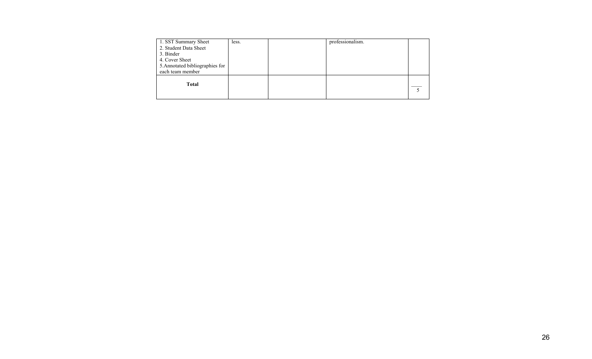| 1. SST Summary Sheet<br>2. Student Data Sheet<br>3. Binder<br>4. Cover Sheet<br>5. Annotated bibliographies for<br>each team member | less. | professionalism. |  |
|-------------------------------------------------------------------------------------------------------------------------------------|-------|------------------|--|
| Total                                                                                                                               |       |                  |  |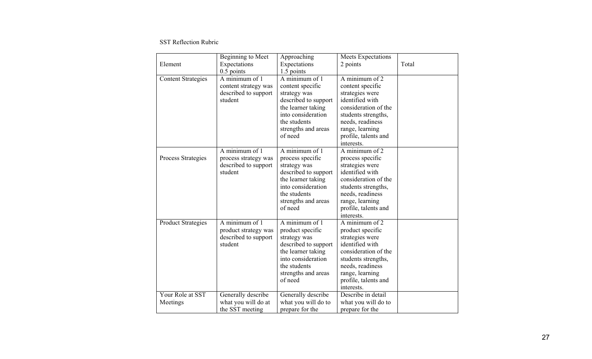SST Reflection Rubric

| Element                      | Beginning to Meet<br>Expectations<br>$0.5$ points                         | Approaching<br>Expectations<br>1.5 points                                                                                                                                | Meets Expectations<br>2 points                                                                                                                                                                                    | Total |
|------------------------------|---------------------------------------------------------------------------|--------------------------------------------------------------------------------------------------------------------------------------------------------------------------|-------------------------------------------------------------------------------------------------------------------------------------------------------------------------------------------------------------------|-------|
| <b>Content Strategies</b>    | A minimum of 1<br>content strategy was<br>described to support<br>student | A minimum of 1<br>content specific<br>strategy was<br>described to support<br>the learner taking<br>into consideration<br>the students<br>strengths and areas<br>of need | A minimum of $\overline{2}$<br>content specific<br>strategies were<br>identified with<br>consideration of the<br>students strengths,<br>needs, readiness<br>range, learning<br>profile, talents and<br>interests. |       |
| Process Strategies           | A minimum of 1<br>process strategy was<br>described to support<br>student | A minimum of 1<br>process specific<br>strategy was<br>described to support<br>the learner taking<br>into consideration<br>the students<br>strengths and areas<br>of need | A minimum of 2<br>process specific<br>strategies were<br>identified with<br>consideration of the<br>students strengths,<br>needs, readiness<br>range, learning<br>profile, talents and<br>interests.              |       |
| <b>Product Strategies</b>    | A minimum of 1<br>product strategy was<br>described to support<br>student | A minimum of 1<br>product specific<br>strategy was<br>described to support<br>the learner taking<br>into consideration<br>the students<br>strengths and areas<br>of need | A minimum of 2<br>product specific<br>strategies were<br>identified with<br>consideration of the<br>students strengths,<br>needs, readiness<br>range, learning<br>profile, talents and<br>interests.              |       |
| Your Role at SST<br>Meetings | Generally describe<br>what you will do at<br>the SST meeting              | Generally describe<br>what you will do to<br>prepare for the                                                                                                             | Describe in detail<br>what you will do to<br>prepare for the                                                                                                                                                      |       |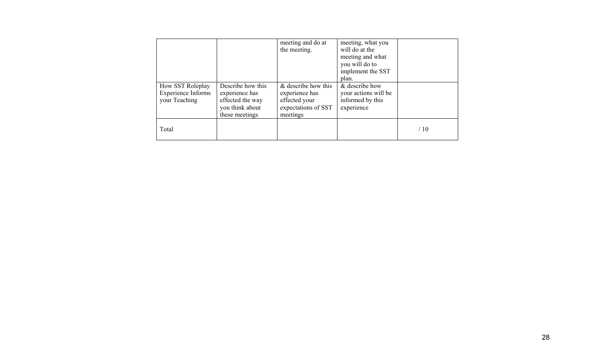|                           |                   | meeting and do at   | meeting, what you    |     |
|---------------------------|-------------------|---------------------|----------------------|-----|
|                           |                   | the meeting.        | will do at the       |     |
|                           |                   |                     | meeting and what     |     |
|                           |                   |                     | you will do to       |     |
|                           |                   |                     | implement the SST    |     |
|                           |                   |                     | plan.                |     |
| How SST Roleplay          | Describe how this | & describe how this | & describe how       |     |
| <b>Experience Informs</b> | experience has    | experience has      | your actions will be |     |
| your Teaching             | effected the way  | effected your       | informed by this     |     |
|                           | you think about   | expectations of SST | experience           |     |
|                           | these meetings    | meetings            |                      |     |
|                           |                   |                     |                      |     |
| Total                     |                   |                     |                      | /10 |
|                           |                   |                     |                      |     |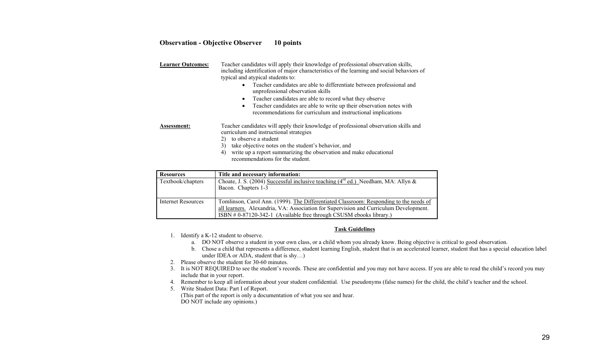## **Observation - Objective Observer 10 points**

| <b>Learner Outcomes:</b> | Teacher candidates will apply their knowledge of professional observation skills,<br>including identification of major characteristics of the learning and social behaviors of<br>typical and atypical students to:<br>Teacher candidates are able to differentiate between professional and<br>$\bullet$<br>unprofessional observation skills<br>Teacher candidates are able to record what they observe<br>$\bullet$<br>Teacher candidates are able to write up their observation notes with<br>$\bullet$<br>recommendations for curriculum and instructional implications |
|--------------------------|------------------------------------------------------------------------------------------------------------------------------------------------------------------------------------------------------------------------------------------------------------------------------------------------------------------------------------------------------------------------------------------------------------------------------------------------------------------------------------------------------------------------------------------------------------------------------|
| <b>Assessment:</b>       | Teacher candidates will apply their knowledge of professional observation skills and<br>curriculum and instructional strategies<br>to observe a student<br>2)<br>take objective notes on the student's behavior, and<br>3)<br>write up a report summarizing the observation and make educational<br>4)<br>recommendations for the student.                                                                                                                                                                                                                                   |

| <b>Resources</b>   | Title and necessary information:                                                        |
|--------------------|-----------------------------------------------------------------------------------------|
| Textbook/chapters  | Choate, J. S. (2004) Successful inclusive teaching ( $4^{rd}$ ed.) Needham, MA: Allyn & |
|                    | Bacon. Chapters 1-3                                                                     |
|                    |                                                                                         |
| Internet Resources | Tomlinson, Carol Ann. (1999). The Differentiated Classroom: Responding to the needs of  |
|                    | all learners. Alexandria, VA: Association for Supervision and Curriculum Development.   |
|                    | ISBN # 0-87120-342-1 (Available free through CSUSM ebooks library.)                     |

#### **Task Guidelines**

- 1. Identify a K-12 student to observe.
	- a. DO NOT observe a student in your own class, or a child whom you already know. Being objective is critical to good observation.
	- b. Chose a child that represents a difference, student learning English, student that is an accelerated learner, student that has a special education label under IDEA or ADA, student that is shy…)
- 2. Please observe the student for 30-60 minutes.
- 3. It is NOT REQUIRED to see the student's records. These are confidential and you may not have access. If you are able to read the child's record you may include that in your report.
- 4. Remember to keep all information about your student confidential. Use pseudonyms (false names) for the child, the child's teacher and the school.
- 5. Write Student Data: Part I of Report. (This part of the report is only a documentation of what you see and hear. DO NOT include any opinions.)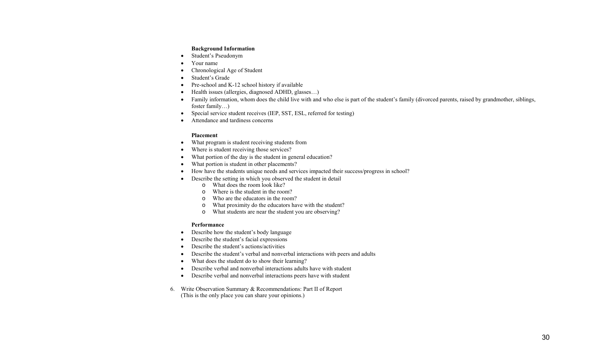### **Background Information**

- •Student's Pseudonym
- •Your name
- •Chronological Age of Student
- •Student's Grade
- •Pre-school and K-12 school history if available
- •Health issues (allergies, diagnosed ADHD, glasses…)
- • Family information, whom does the child live with and who else is part of the student's family (divorced parents, raised by grandmother, siblings, foster family…)
- $\bullet$ Special service student receives (IEP, SST, ESL, referred for testing)
- •Attendance and tardiness concerns

## **Placement**

- •What program is student receiving students from
- •Where is student receiving those services?
- •What portion of the day is the student in general education?
- •What portion is student in other placements?
- •How have the students unique needs and services impacted their success/progress in school?
- • Describe the setting in which you observed the student in detail
	- o What does the room look like?
	- oWhere is the student in the room?
	- oWho are the educators in the room?
	- oWhat proximity do the educators have with the student?
	- oWhat students are near the student you are observing?

## **Performance**

- Describe how the student's body language
- •Describe the student's facial expressions
- •Describe the student's actions/activities
- •Describe the student's verbal and nonverbal interactions with peers and adults
- •What does the student do to show their learning?
- •Describe verbal and nonverbal interactions adults have with student
- •Describe verbal and nonverbal interactions peers have with student
- 6. Write Observation Summary & Recommendations: Part II of Report (This is the only place you can share your opinions.)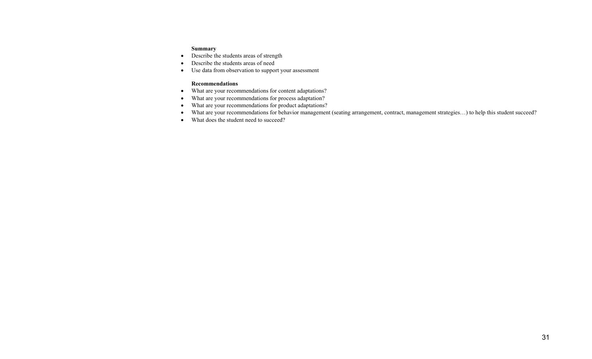## **Summary**

- Describe the students areas of strength
- •Describe the students areas of need
- Use data from observation to support your assessment

#### **Recommendations**

- What are your recommendations for content adaptations?
- What are your recommendations for process adaptation?
- What are your recommendations for product adaptations?
- What are your recommendations for behavior management (seating arrangement, contract, management strategies...) to help this student succeed?
- What does the student need to succeed?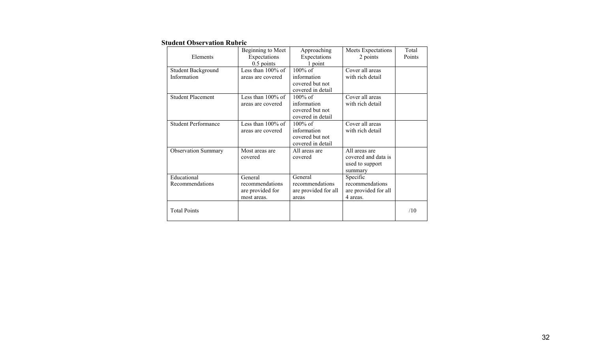### **Student Observation Rubric**

|                            | Beginning to Meet    | Approaching          | Meets Expectations   | Total  |
|----------------------------|----------------------|----------------------|----------------------|--------|
| Elements                   | Expectations         | Expectations         | 2 points             | Points |
|                            | $0.5$ points         | 1 point              |                      |        |
| Student Background         | Less than $100\%$ of | 100% of              | Cover all areas      |        |
| Information                | areas are covered    | information          | with rich detail     |        |
|                            |                      | covered but not      |                      |        |
|                            |                      | covered in detail    |                      |        |
| <b>Student Placement</b>   | Less than $100\%$ of | $100\%$ of           | Cover all areas      |        |
|                            | areas are covered    | information          | with rich detail     |        |
|                            |                      | covered but not      |                      |        |
|                            |                      | covered in detail    |                      |        |
| <b>Student Performance</b> | Less than $100\%$ of | $100\%$ of           | Cover all areas      |        |
|                            | areas are covered    | information          | with rich detail     |        |
|                            |                      | covered but not      |                      |        |
|                            |                      | covered in detail    |                      |        |
| <b>Observation Summary</b> | Most areas are       | All areas are        | All areas are        |        |
|                            | covered              | covered              | covered and data is  |        |
|                            |                      |                      | used to support      |        |
|                            |                      |                      | summary              |        |
| Educational                | General              | General              | Specific             |        |
| Recommendations            | recommendations      | recommendations      | recommendations      |        |
|                            | are provided for     | are provided for all | are provided for all |        |
|                            | most areas.          | areas                | 4 areas.             |        |
|                            |                      |                      |                      |        |
| <b>Total Points</b>        |                      |                      |                      | /10    |
|                            |                      |                      |                      |        |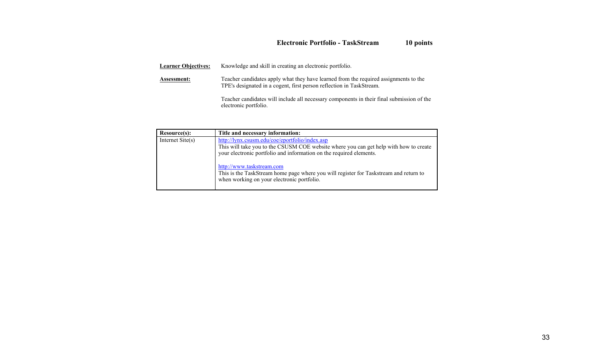# **Electronic Portfolio - TaskStream 10 points**

| <b>Learner Objectives:</b> | Knowledge and skill in creating an electronic portfolio.                                                                                                     |
|----------------------------|--------------------------------------------------------------------------------------------------------------------------------------------------------------|
| Assessment:                | Teacher candidates apply what they have learned from the required assignments to the<br>TPE's designated in a cogent, first person reflection in TaskStream. |
|                            | Teacher candidates will include all necessary components in their final submission of the<br>electronic portfolio.                                           |

| Resource(s):              | Title and necessary information:                                                                                                                                                                               |
|---------------------------|----------------------------------------------------------------------------------------------------------------------------------------------------------------------------------------------------------------|
| Internet $\text{Site}(s)$ | http://lynx.csusm.edu/coe/eportfolio/index.asp<br>This will take you to the CSUSM COE website where you can get help with how to create<br>your electronic portfolio and information on the required elements. |
|                           | http://www.taskstream.com<br>This is the TaskStream home page where you will register for Taskstream and return to<br>when working on your electronic portfolio.                                               |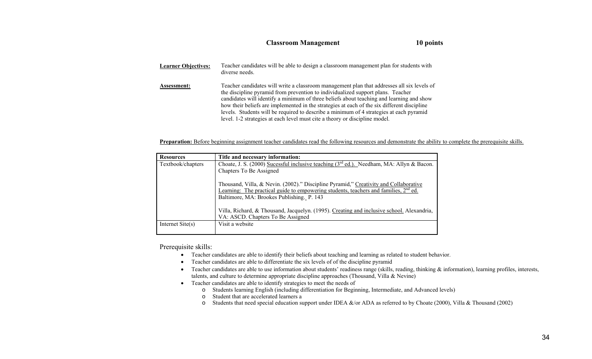## **Classroom Management 10 points**

| <b>Learner Objectives:</b> | Teacher candidates will be able to design a classroom management plan for students with<br>diverse needs.                                                                                                                                                                                                                                                                                                                                                                                                                                          |
|----------------------------|----------------------------------------------------------------------------------------------------------------------------------------------------------------------------------------------------------------------------------------------------------------------------------------------------------------------------------------------------------------------------------------------------------------------------------------------------------------------------------------------------------------------------------------------------|
| Assessment:                | Teacher candidates will write a classroom management plan that addresses all six levels of<br>the discipline pyramid from prevention to individualized support plans. Teacher<br>candidates will identify a minimum of three beliefs about teaching and learning and show<br>how their beliefs are implemented in the strategies at each of the six different discipline<br>levels. Students will be required to describe a minimum of 4 strategies at each pyramid<br>level. 1-2 strategies at each level must cite a theory or discipline model. |

**Preparation:** Before beginning assignment teacher candidates read the following resources and demonstrate the ability to complete the prerequisite skills.

| <b>Resources</b>          | Title and necessary information:                                                                                                                                                                                            |
|---------------------------|-----------------------------------------------------------------------------------------------------------------------------------------------------------------------------------------------------------------------------|
| Textbook/chapters         | Choate, J. S. (2000) Sucessful inclusive teaching $3^{rd}$ ed.). Needham, MA: Allyn & Bacon.                                                                                                                                |
|                           | Chapters To Be Assigned                                                                                                                                                                                                     |
|                           | Thousand, Villa, & Nevin. (2002)." Discipline Pyramid," Creativity and Collaborative<br>Learning: The practical guide to empowering students, teachers and families, $2nd$ ed.<br>Baltimore, MA: Brookes Publishing. P. 143 |
|                           | Villa, Richard, & Thousand, Jacquelyn. (1995). Creating and inclusive school. Alexandria,<br>VA: ASCD. Chapters To Be Assigned                                                                                              |
| Internet $\text{Site}(s)$ | Visit a website                                                                                                                                                                                                             |

Prerequisite skills:

- Teacher candidates are able to identify their beliefs about teaching and learning as related to student behavior.
- Teacher candidates are able to differentiate the six levels of of the discipline pyramid
- Teacher candidates are able to use information about students' readiness range (skills, reading, thinking  $\&$  information), learning profiles, interests, talents, and culture to determine appropriate discipline approaches (Thousand, Villa & Nevine)
- Teacher candidates are able to identify strategies to meet the needs of
	- o Students learning English (including differentiation for Beginning, Intermediate, and Advanced levels)
		- o Student that are accelerated learners a
	- $\circ$  Students that need special education support under IDEA &/or ADA as referred to by Choate (2000), Villa & Thousand (2002)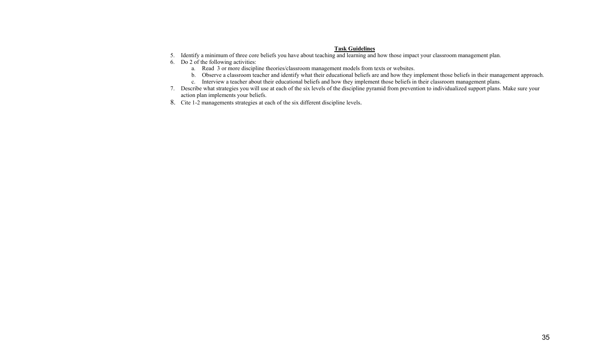## **Task Guidelines**

- 5. Identify a minimum of three core beliefs you have about teaching and learning and how those impact your classroom management plan.
- 6. Do 2 of the following activities:
	- a. Read 3 or more discipline theories/classroom management models from texts or websites.
	- b. Observe a classroom teacher and identify what their educational beliefs are and how they implement those beliefs in their management approach.
	- c. Interview a teacher about their educational beliefs and how they implement those beliefs in their classroom management plans.
- 7. Describe what strategies you will use at each of the six levels of the discipline pyramid from prevention to individualized support plans. Make sure your action plan implements your beliefs.
- 8. Cite 1-2 managements strategies at each of the six different discipline levels.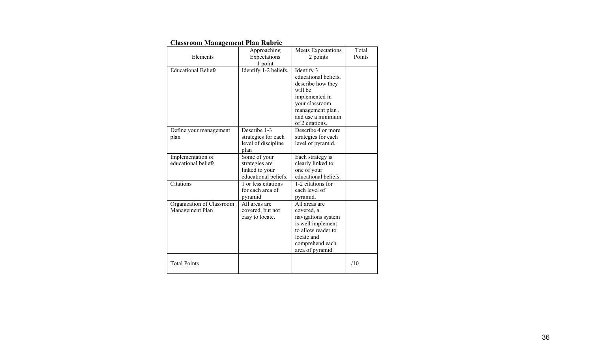| Стазятооні втанаденісні і тан тецігіс |                                  |                                         |                 |
|---------------------------------------|----------------------------------|-----------------------------------------|-----------------|
| Elements                              | Approaching                      | Meets Expectations                      | Total<br>Points |
|                                       | Expectations                     | 2 points                                |                 |
| <b>Educational Beliefs</b>            | 1 point<br>Identify 1-2 beliefs. | Identify 3                              |                 |
|                                       |                                  | educational beliefs,                    |                 |
|                                       |                                  |                                         |                 |
|                                       |                                  | describe how they<br>will be            |                 |
|                                       |                                  | implemented in                          |                 |
|                                       |                                  | your classroom                          |                 |
|                                       |                                  | management plan,                        |                 |
|                                       |                                  | and use a minimum                       |                 |
|                                       |                                  | of 2 citations.                         |                 |
| Define your management                | Describe 1-3                     | Describe 4 or more                      |                 |
| plan                                  | strategies for each              | strategies for each                     |                 |
|                                       | level of discipline              | level of pyramid.                       |                 |
|                                       | plan                             |                                         |                 |
| Implementation of                     | Some of your                     | Each strategy is                        |                 |
| educational beliefs                   | strategies are                   | clearly linked to                       |                 |
|                                       | linked to your                   | one of your                             |                 |
|                                       | educational beliefs.             | educational beliefs.                    |                 |
| Citations                             | 1 or less citations              | 1-2 citations for                       |                 |
|                                       | for each area of                 | each level of                           |                 |
|                                       | pyramid                          | pyramid.                                |                 |
| Organization of Classroom             | All areas are                    | All areas are                           |                 |
| Management Plan                       | covered, but not                 | covered, a                              |                 |
|                                       | easy to locate.                  | navigations system<br>is well implement |                 |
|                                       |                                  | to allow reader to                      |                 |
|                                       |                                  | locate and                              |                 |
|                                       |                                  | comprehend each                         |                 |
|                                       |                                  | area of pyramid.                        |                 |
|                                       |                                  |                                         |                 |
| <b>Total Points</b>                   |                                  |                                         | /10             |
|                                       |                                  |                                         |                 |

## **Classroom Management Plan Rubric**